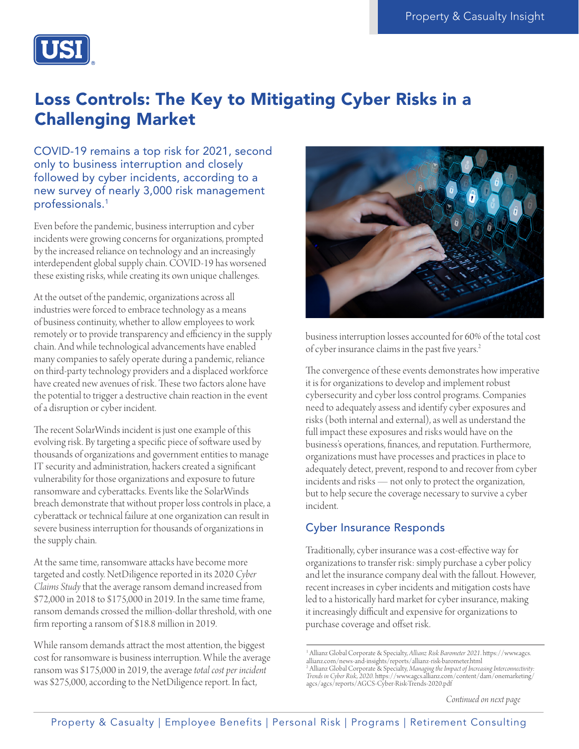

# Loss Controls: The Key to Mitigating Cyber Risks in a Challenging Market

COVID-19 remains a top risk for 2021, second only to business interruption and closely followed by cyber incidents, according to a new survey of nearly 3,000 risk management professionals.1

Even before the pandemic, business interruption and cyber incidents were growing concerns for organizations, prompted by the increased reliance on technology and an increasingly interdependent global supply chain. COVID-19 has worsened these existing risks, while creating its own unique challenges.

At the outset of the pandemic, organizations across all industries were forced to embrace technology as a means of business continuity, whether to allow employees to work remotely or to provide transparency and efficiency in the supply chain. And while technological advancements have enabled many companies to safely operate during a pandemic, reliance on third-party technology providers and a displaced workforce have created new avenues of risk. These two factors alone have the potential to trigger a destructive chain reaction in the event of a disruption or cyber incident.

The recent SolarWinds incident is just one example of this evolving risk. By targeting a specific piece of software used by thousands of organizations and government entities to manage IT security and administration, hackers created a significant vulnerability for those organizations and exposure to future ransomware and cyberattacks. Events like the SolarWinds breach demonstrate that without proper loss controls in place, a cyberattack or technical failure at one organization can result in severe business interruption for thousands of organizations in the supply chain.

At the same time, ransomware attacks have become more targeted and costly. NetDiligence reported in its 2020 *Cyber Claims Study* that the average ransom demand increased from \$72,000 in 2018 to \$175,000 in 2019. In the same time frame, ransom demands crossed the million-dollar threshold, with one firm reporting a ransom of \$18.8 million in 2019.

While ransom demands attract the most attention, the biggest cost for ransomware is business interruption. While the average ransom was \$175,000 in 2019, the average *total cost per incident*  was \$275,000, according to the NetDiligence report. In fact,



business interruption losses accounted for 60% of the total cost of cyber insurance claims in the past five years.2

The convergence of these events demonstrates how imperative it is for organizations to develop and implement robust cybersecurity and cyber loss control programs. Companies need to adequately assess and identify cyber exposures and risks (both internal and external), as well as understand the full impact these exposures and risks would have on the business's operations, finances, and reputation. Furthermore, organizations must have processes and practices in place to adequately detect, prevent, respond to and recover from cyber incidents and risks — not only to protect the organization, but to help secure the coverage necessary to survive a cyber incident.

#### Cyber Insurance Responds

Traditionally, cyber insurance was a cost-effective way for organizations to transfer risk: simply purchase a cyber policy and let the insurance company deal with the fallout. However, recent increases in cyber incidents and mitigation costs have led to a historically hard market for cyber insurance, making it increasingly difficult and expensive for organizations to purchase coverage and offset risk.

*Continued on next page*

<sup>1</sup> Allianz Global Corporate & Specialty, *Allianz Risk Barometer 2021*. [https://www.agcs.](https://www.agcs.allianz.com/news-and-insights/reports/allianz-risk-barometer.html
) [allianz.com/news-and-insights/reports/allianz-risk-barometer.html](https://www.agcs.allianz.com/news-and-insights/reports/allianz-risk-barometer.html
) 2 Allianz Global Corporate & Specialty, *Managing the Impact of Increasing Interconnectivity: Trends in Cyber Risk, 2020.* [https://www.agcs.allianz.com/content/dam/onemarketing/](https://www.agcs.allianz.com/content/dam/onemarketing/agcs/agcs/reports/AGCS-Cyber-Risk-Trends-2020.pdf) [agcs/agcs/reports/AGCS-Cyber-Risk-Trends-2020.pdf](https://www.agcs.allianz.com/content/dam/onemarketing/agcs/agcs/reports/AGCS-Cyber-Risk-Trends-2020.pdf)